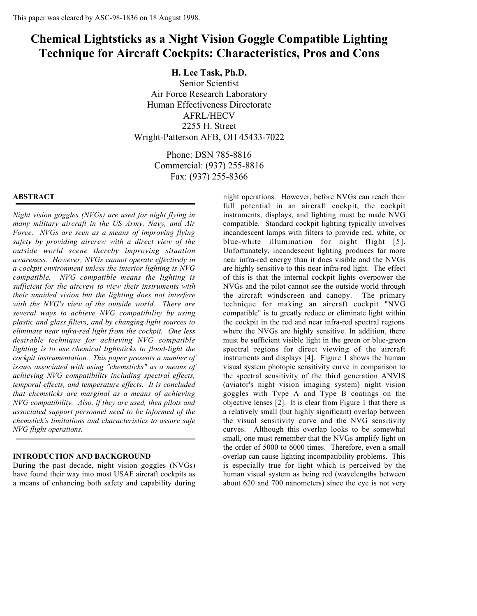# **Chemical Lightsticks as a Night Vision Goggle Compatible Lighting Technique for Aircraft Cockpits: Characteristics, Pros and Cons**

**H. Lee Task, Ph.D.**

Senior Scientist Air Force Research Laboratory Human Effectiveness Directorate AFRL/HECV 2255 H. Street Wright-Patterson AFB, OH 45433-7022

> Phone: DSN 785-8816 Commercial: (937) 255-8816 Fax: (937) 255-8366

## **ABSTRACT**

*Night vision goggles (NVGs) are used for night flying in many military aircraft in the US Army, Navy, and Air Force. NVGs are seen as a means of improving flying safety by providing aircrew with a direct view of the outside world scene thereby improving situation awareness. However, NVGs cannot operate effectively in a cockpit environment unless the interior lighting is NVG compatible. NVG compatible means the lighting is sufficient for the aircrew to view their instruments with their unaided vision but the lighting does not interfere with the NVG's view of the outside world. There are several ways to achieve NVG compatibility by using plastic and glass filters, and by changing light sources to eliminate near infra-red light from the cockpit. One less desirable technique for achieving NVG compatible lighting is to use chemical lightsticks to flood-light the cockpit instrumentation. This paper presents a number of issues associated with using "chemsticks" as a means of achieving NVG compatibility including spectral effects, temporal effects, and temperature effects. It is concluded that chemsticks are marginal as a means of achieving NVG compatibility. Also, if they are used, then pilots and associated support personnel need to be informed of the chemstick's limitations and characteristics to assure safe NVG flight operations.*

#### **INTRODUCTION AND BACKGROUND**

During the past decade, night vision goggles (NVGs) have found their way into most USAF aircraft cockpits as a means of enhancing both safety and capability during night operations. However, before NVGs can reach their full potential in an aircraft cockpit, the cockpit instruments, displays, and lighting must be made NVG compatible. Standard cockpit lighting typically involves incandescent lamps with filters to provide red, white, or blue-white illumination for night flight [5]. Unfortunately, incandescent lighting produces far more near infra-red energy than it does visible and the NVGs are highly sensitive to this near infra-red light. The effect of this is that the internal cockpit lights overpower the NVGs and the pilot cannot see the outside world through the aircraft windscreen and canopy. The primary technique for making an aircraft cockpit "NVG compatible" is to greatly reduce or eliminate light within the cockpit in the red and near infra-red spectral regions where the NVGs are highly sensitive. In addition, there must be sufficient visible light in the green or blue-green spectral regions for direct viewing of the aircraft instruments and displays [4]. Figure 1 shows the human visual system photopic sensitivity curve in comparison to the spectral sensitivity of the third generation ANVIS (aviator's night vision imaging system) night vision goggles with Type A and Type B coatings on the objective lenses [2]. It is clear from Figure 1 that there is a relatively small (but highly significant) overlap between the visual sensitivity curve and the NVG sensitivity curves. Although this overlap looks to be somewhat small, one must remember that the NVGs amplify light on the order of 5000 to 6000 times. Therefore, even a small overlap can cause lighting incompatibility problems. This is especially true for light which is perceived by the human visual system as being red (wavelengths between about 620 and 700 nanometers) since the eye is not very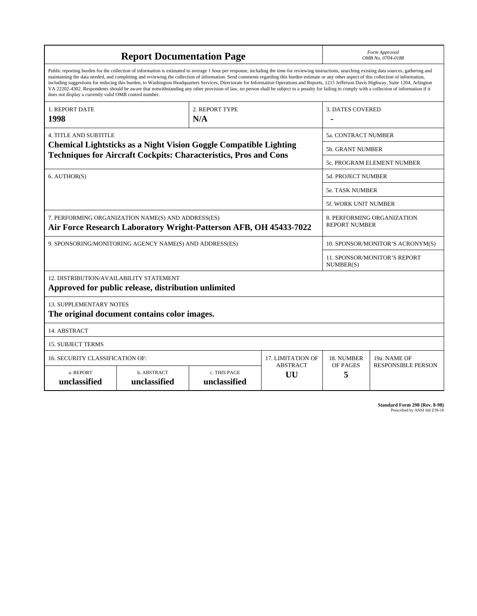| <b>Report Documentation Page</b>                                                                                                                                                                                                                                                                                                                                                                                                                                                                                                                                                                                                                                                                                                                                                                                                                                   |                             |                              |                       | Form Approved<br>OMB No. 0704-0188 |                                                    |  |
|--------------------------------------------------------------------------------------------------------------------------------------------------------------------------------------------------------------------------------------------------------------------------------------------------------------------------------------------------------------------------------------------------------------------------------------------------------------------------------------------------------------------------------------------------------------------------------------------------------------------------------------------------------------------------------------------------------------------------------------------------------------------------------------------------------------------------------------------------------------------|-----------------------------|------------------------------|-----------------------|------------------------------------|----------------------------------------------------|--|
| Public reporting burden for the collection of information is estimated to average 1 hour per response, including the time for reviewing instructions, searching existing data sources, gathering and<br>maintaining the data needed, and completing and reviewing the collection of information. Send comments regarding this burden estimate or any other aspect of this collection of information,<br>including suggestions for reducing this burden, to Washington Headquarters Services, Directorate for Information Operations and Reports, 1215 Jefferson Davis Highway, Suite 1204, Arlington<br>VA 22202-4302. Respondents should be aware that notwithstanding any other provision of law, no person shall be subject to a penalty for failing to comply with a collection of information if it<br>does not display a currently valid OMB control number. |                             |                              |                       |                                    |                                                    |  |
| <b>1. REPORT DATE</b><br>1998                                                                                                                                                                                                                                                                                                                                                                                                                                                                                                                                                                                                                                                                                                                                                                                                                                      |                             | 2. REPORT TYPE<br>N/A        |                       | <b>3. DATES COVERED</b>            |                                                    |  |
| <b>4. TITLE AND SUBTITLE</b>                                                                                                                                                                                                                                                                                                                                                                                                                                                                                                                                                                                                                                                                                                                                                                                                                                       |                             |                              |                       |                                    | <b>5a. CONTRACT NUMBER</b>                         |  |
| <b>Chemical Lightsticks as a Night Vision Goggle Compatible Lighting</b>                                                                                                                                                                                                                                                                                                                                                                                                                                                                                                                                                                                                                                                                                                                                                                                           |                             |                              |                       |                                    | <b>5b. GRANT NUMBER</b>                            |  |
| <b>Techniques for Aircraft Cockpits: Characteristics, Pros and Cons</b>                                                                                                                                                                                                                                                                                                                                                                                                                                                                                                                                                                                                                                                                                                                                                                                            |                             |                              |                       | 5c. PROGRAM ELEMENT NUMBER         |                                                    |  |
| 6. AUTHOR(S)                                                                                                                                                                                                                                                                                                                                                                                                                                                                                                                                                                                                                                                                                                                                                                                                                                                       |                             |                              | 5d. PROJECT NUMBER    |                                    |                                                    |  |
|                                                                                                                                                                                                                                                                                                                                                                                                                                                                                                                                                                                                                                                                                                                                                                                                                                                                    |                             |                              |                       | 5e. TASK NUMBER                    |                                                    |  |
|                                                                                                                                                                                                                                                                                                                                                                                                                                                                                                                                                                                                                                                                                                                                                                                                                                                                    |                             |                              |                       | <b>5f. WORK UNIT NUMBER</b>        |                                                    |  |
| 7. PERFORMING ORGANIZATION NAME(S) AND ADDRESS(ES)<br>Air Force Research Laboratory Wright-Patterson AFB, OH 45433-7022                                                                                                                                                                                                                                                                                                                                                                                                                                                                                                                                                                                                                                                                                                                                            |                             |                              |                       |                                    | 8. PERFORMING ORGANIZATION<br><b>REPORT NUMBER</b> |  |
| 9. SPONSORING/MONITORING AGENCY NAME(S) AND ADDRESS(ES)                                                                                                                                                                                                                                                                                                                                                                                                                                                                                                                                                                                                                                                                                                                                                                                                            |                             |                              |                       |                                    | 10. SPONSOR/MONITOR'S ACRONYM(S)                   |  |
|                                                                                                                                                                                                                                                                                                                                                                                                                                                                                                                                                                                                                                                                                                                                                                                                                                                                    |                             |                              |                       |                                    | 11. SPONSOR/MONITOR'S REPORT<br>NUMBER(S)          |  |
| 12. DISTRIBUTION/AVAILABILITY STATEMENT<br>Approved for public release, distribution unlimited                                                                                                                                                                                                                                                                                                                                                                                                                                                                                                                                                                                                                                                                                                                                                                     |                             |                              |                       |                                    |                                                    |  |
| <b>13. SUPPLEMENTARY NOTES</b><br>The original document contains color images.                                                                                                                                                                                                                                                                                                                                                                                                                                                                                                                                                                                                                                                                                                                                                                                     |                             |                              |                       |                                    |                                                    |  |
| 14. ABSTRACT                                                                                                                                                                                                                                                                                                                                                                                                                                                                                                                                                                                                                                                                                                                                                                                                                                                       |                             |                              |                       |                                    |                                                    |  |
| <b>15. SUBJECT TERMS</b>                                                                                                                                                                                                                                                                                                                                                                                                                                                                                                                                                                                                                                                                                                                                                                                                                                           |                             |                              |                       |                                    |                                                    |  |
| 16. SECURITY CLASSIFICATION OF:<br><b>17. LIMITATION OF</b>                                                                                                                                                                                                                                                                                                                                                                                                                                                                                                                                                                                                                                                                                                                                                                                                        |                             |                              |                       | 18. NUMBER                         | 19a. NAME OF                                       |  |
| a. REPORT<br>unclassified                                                                                                                                                                                                                                                                                                                                                                                                                                                                                                                                                                                                                                                                                                                                                                                                                                          | b. ABSTRACT<br>unclassified | c. THIS PAGE<br>unclassified | <b>ABSTRACT</b><br>UU | OF PAGES<br>5                      | <b>RESPONSIBLE PERSON</b>                          |  |

**Standard Form 298 (Rev. 8-98)**<br>Prescribed by ANSI Std Z39-18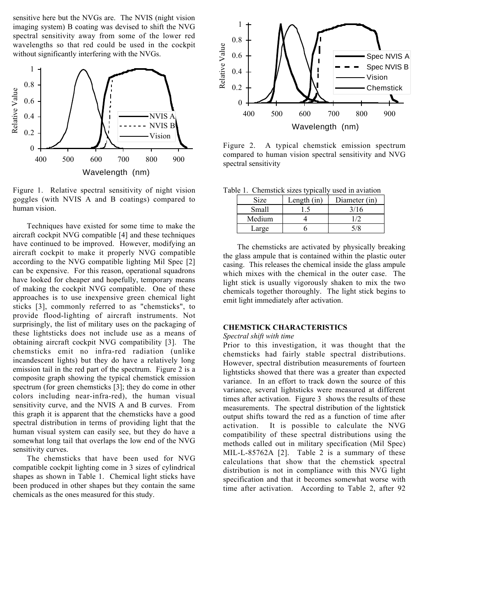sensitive here but the NVGs are. The NVIS (night vision imaging system) B coating was devised to shift the NVG spectral sensitivity away from some of the lower red wavelengths so that red could be used in the cockpit without significantly interfering with the NVGs.



Figure 1. Relative spectral sensitivity of night vision goggles (with NVIS A and B coatings) compared to human vision.

Techniques have existed for some time to make the aircraft cockpit NVG compatible [4] and these techniques have continued to be improved. However, modifying an aircraft cockpit to make it properly NVG compatible according to the NVG compatible lighting Mil Spec [2] can be expensive. For this reason, operational squadrons have looked for cheaper and hopefully, temporary means of making the cockpit NVG compatible. One of these approaches is to use inexpensive green chemical light sticks [3], commonly referred to as "chemsticks", to provide flood-lighting of aircraft instruments. Not surprisingly, the list of military uses on the packaging of these lightsticks does not include use as a means of obtaining aircraft cockpit NVG compatibility [3]. The chemsticks emit no infra-red radiation (unlike incandescent lights) but they do have a relatively long emission tail in the red part of the spectrum. Figure 2 is a composite graph showing the typical chemstick emission spectrum (for green chemsticks [3]; they do come in other colors including near-infra-red), the human visual sensitivity curve, and the NVIS A and B curves. From this graph it is apparent that the chemsticks have a good spectral distribution in terms of providing light that the human visual system can easily see, but they do have a somewhat long tail that overlaps the low end of the NVG sensitivity curves.

The chemsticks that have been used for NVG compatible cockpit lighting come in 3 sizes of cylindrical shapes as shown in Table 1. Chemical light sticks have been produced in other shapes but they contain the same chemicals as the ones measured for this study.



Figure 2. A typical chemstick emission spectrum compared to human vision spectral sensitivity and NVG spectral sensitivity

Table 1. Chemstick sizes typically used in aviation

| Size   | Length (in) | Diameter (in) |
|--------|-------------|---------------|
| Small  |             | 3/16          |
| Medium |             |               |
| Large  |             |               |

The chemsticks are activated by physically breaking the glass ampule that is contained within the plastic outer casing. This releases the chemical inside the glass ampule which mixes with the chemical in the outer case. The light stick is usually vigorously shaken to mix the two chemicals together thoroughly. The light stick begins to emit light immediately after activation.

## **CHEMSTICK CHARACTERISTICS**

#### *Spectral shift with time*

Prior to this investigation, it was thought that the chemsticks had fairly stable spectral distributions. However, spectral distribution measurements of fourteen lightsticks showed that there was a greater than expected variance. In an effort to track down the source of this variance, several lightsticks were measured at different times after activation. Figure 3 shows the results of these measurements. The spectral distribution of the lightstick output shifts toward the red as a function of time after activation. It is possible to calculate the NVG compatibility of these spectral distributions using the methods called out in military specification (Mil Spec) MIL-L-85762A [2]. Table 2 is a summary of these calculations that show that the chemstick spectral distribution is not in compliance with this NVG light specification and that it becomes somewhat worse with time after activation. According to Table 2, after 92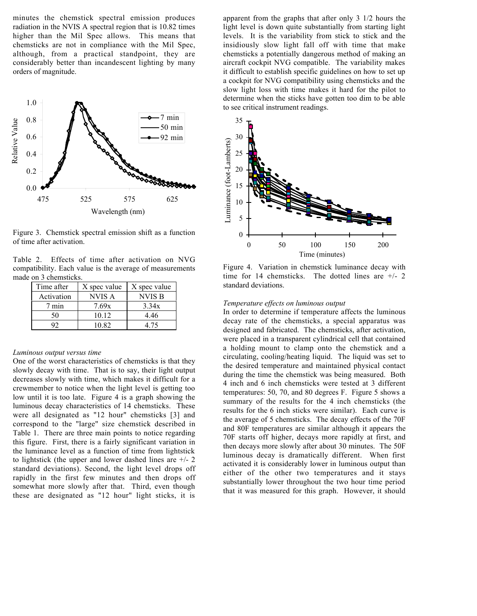minutes the chemstick spectral emission produces radiation in the NVIS A spectral region that is 10.82 times higher than the Mil Spec allows. This means that chemsticks are not in compliance with the Mil Spec, although, from a practical standpoint, they are considerably better than incandescent lighting by many orders of magnitude.



Figure 3. Chemstick spectral emission shift as a function of time after activation.

Table 2. Effects of time after activation on NVG compatibility. Each value is the average of measurements made on 3 chemsticks.

| Time after | X spec value | X spec value  |
|------------|--------------|---------------|
| Activation | NVIS A       | <b>NVIS B</b> |
| min        | 7.69x        | 3.34x         |
| 50         | 10 12        | 4.46          |
|            | 10.82        | 4 75          |

#### *Luminous output versus time*

One of the worst characteristics of chemsticks is that they slowly decay with time. That is to say, their light output decreases slowly with time, which makes it difficult for a crewmember to notice when the light level is getting too low until it is too late. Figure 4 is a graph showing the luminous decay characteristics of 14 chemsticks. These were all designated as "12 hour" chemsticks [3] and correspond to the "large" size chemstick described in Table 1. There are three main points to notice regarding this figure. First, there is a fairly significant variation in the luminance level as a function of time from lightstick to lightstick (the upper and lower dashed lines are  $+/- 2$ standard deviations). Second, the light level drops off rapidly in the first few minutes and then drops off somewhat more slowly after that. Third, even though these are designated as "12 hour" light sticks, it is

apparent from the graphs that after only 3 1/2 hours the light level is down quite substantially from starting light levels. It is the variability from stick to stick and the insidiously slow light fall off with time that make chemsticks a potentially dangerous method of making an aircraft cockpit NVG compatible. The variability makes it difficult to establish specific guidelines on how to set up a cockpit for NVG compatibility using chemsticks and the slow light loss with time makes it hard for the pilot to determine when the sticks have gotten too dim to be able to see critical instrument readings.



Figure 4. Variation in chemstick luminance decay with time for 14 chemsticks. The dotted lines are +/- 2 standard deviations.

#### *Temperature effects on luminous output*

In order to determine if temperature affects the luminous decay rate of the chemsticks, a special apparatus was designed and fabricated. The chemsticks, after activation, were placed in a transparent cylindrical cell that contained a holding mount to clamp onto the chemstick and a circulating, cooling/heating liquid. The liquid was set to the desired temperature and maintained physical contact during the time the chemstick was being measured. Both 4 inch and 6 inch chemsticks were tested at 3 different temperatures: 50, 70, and 80 degrees F. Figure 5 shows a summary of the results for the 4 inch chemsticks (the results for the 6 inch sticks were similar). Each curve is the average of 5 chemsticks. The decay effects of the 70F and 80F temperatures are similar although it appears the 70F starts off higher, decays more rapidly at first, and then decays more slowly after about 30 minutes. The 50F luminous decay is dramatically different. When first activated it is considerably lower in luminous output than either of the other two temperatures and it stays substantially lower throughout the two hour time period The state of the control of the control of the state of the state of the state of the control of the control of the motion of the different and that that is a standard deviations.<br>
The pre-attate of the cheminical control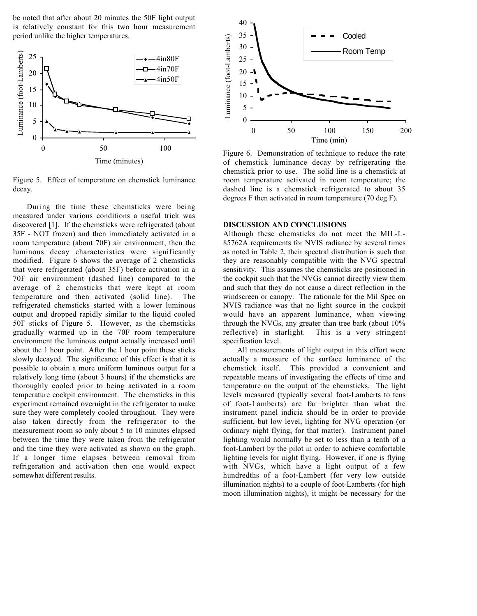be noted that after about 20 minutes the 50F light output is relatively constant for this two hour measurement period unlike the higher temperatures.



Figure 5. Effect of temperature on chemstick luminance decay.

During the time these chemsticks were being measured under various conditions a useful trick was discovered [1]. If the chemsticks were refrigerated (about 35F - NOT frozen) and then immediately activated in a room temperature (about 70F) air environment, then the luminous decay characteristics were significantly modified. Figure 6 shows the average of 2 chemsticks that were refrigerated (about 35F) before activation in a 70F air environment (dashed line) compared to the average of 2 chemsticks that were kept at room temperature and then activated (solid line). The refrigerated chemsticks started with a lower luminous output and dropped rapidly similar to the liquid cooled 50F sticks of Figure 5. However, as the chemsticks gradually warmed up in the 70F room temperature environment the luminous output actually increased until about the 1 hour point. After the 1 hour point these sticks slowly decayed. The significance of this effect is that it is possible to obtain a more uniform luminous output for a relatively long time (about 3 hours) if the chemsticks are thoroughly cooled prior to being activated in a room temperature cockpit environment. The chemsticks in this experiment remained overnight in the refrigerator to make sure they were completely cooled throughout. They were also taken directly from the refrigerator to the measurement room so only about 5 to 10 minutes elapsed between the time they were taken from the refrigerator and the time they were activated as shown on the graph. If a longer time elapses between removal from refrigeration and activation then one would expect somewhat different results.



Figure 6. Demonstration of technique to reduce the rate of chemstick luminance decay by refrigerating the chemstick prior to use. The solid line is a chemstick at room temperature activated in room temperature; the dashed line is a chemstick refrigerated to about 35 degrees F then activated in room temperature (70 deg F).

# **DISCUSSION AND CONCLUSIONS**

Although these chemsticks do not meet the MIL-L-85762A requirements for NVIS radiance by several times as noted in Table 2, their spectral distribution is such that they are reasonably compatible with the NVG spectral sensitivity. This assumes the chemsticks are positioned in the cockpit such that the NVGs cannot directly view them and such that they do not cause a direct reflection in the windscreen or canopy. The rationale for the Mil Spec on NVIS radiance was that no light source in the cockpit would have an apparent luminance, when viewing through the NVGs, any greater than tree bark (about 10% reflective) in starlight. This is a very stringent specification level.

All measurements of light output in this effort were actually a measure of the surface luminance of the chemstick itself. This provided a convenient and repeatable means of investigating the effects of time and temperature on the output of the chemsticks. The light levels measured (typically several foot-Lamberts to tens of foot-Lamberts) are far brighter than what the instrument panel indicia should be in order to provide sufficient, but low level, lighting for NVG operation (or ordinary night flying, for that matter). Instrument panel lighting would normally be set to less than a tenth of a foot-Lambert by the pilot in order to achieve comfortable lighting levels for night flying. However, if one is flying with NVGs, which have a light output of a few hundredths of a foot-Lambert (for very low outside illumination nights) to a couple of foot-Lamberts (for high moon illumination nights), it might be necessary for the